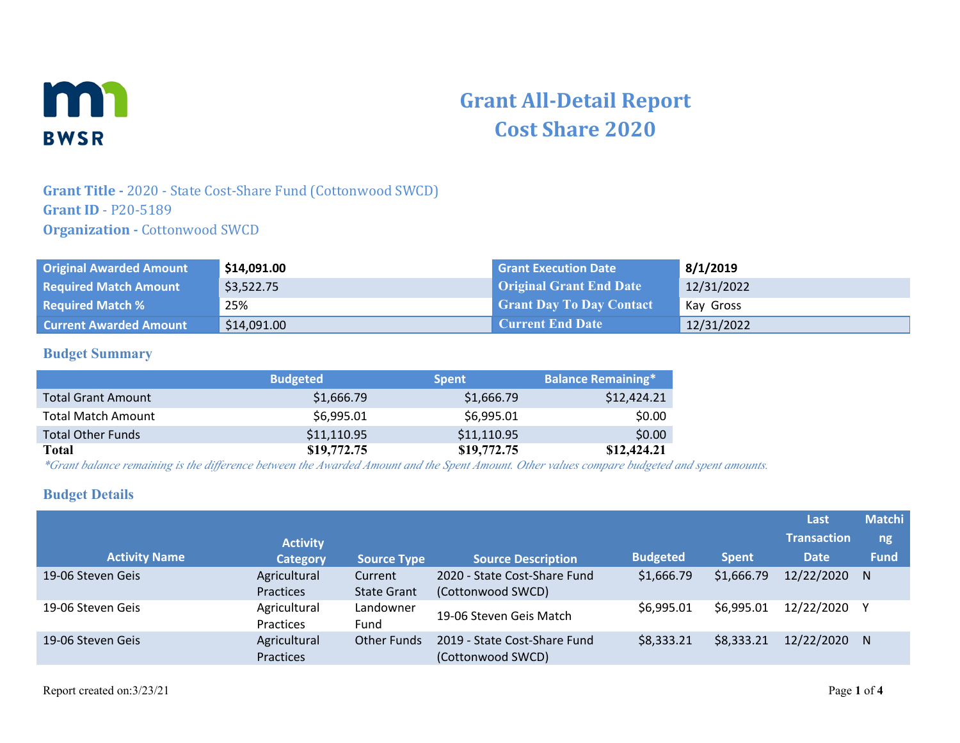

# **Grant All-Detail Report Cost Share 2020**

#### **Grant Title -** 2020 - State Cost-Share Fund (Cottonwood SWCD) **Grant ID** - P20-5189 **Organization - Cottonwood SWCD**

| <b>Original Awarded Amount</b> | \$14,091.00 | <b>Grant Execution Date</b>     | 8/1/2019   |
|--------------------------------|-------------|---------------------------------|------------|
| <b>Required Match Amount</b>   | \$3,522.75  | <b>Original Grant End Date</b>  | 12/31/2022 |
| <b>Required Match %</b>        | 25%         | <b>Grant Day To Day Contact</b> | Kay Gross  |
| <b>Current Awarded Amount</b>  | \$14,091.00 | <b>Current End Date</b>         | 12/31/2022 |

#### **Budget Summary**

|                           | <b>Budgeted</b> | <b>Spent</b> | <b>Balance Remaining*</b> |
|---------------------------|-----------------|--------------|---------------------------|
| <b>Total Grant Amount</b> | \$1,666.79      | \$1,666.79   | \$12,424.21               |
| <b>Total Match Amount</b> | \$6,995.01      | \$6,995.01   | \$0.00                    |
| <b>Total Other Funds</b>  | \$11,110.95     | \$11,110.95  | \$0.00                    |
| Total                     | \$19,772.75     | \$19,772.75  | \$12,424.21               |

*\*Grant balance remaining is the difference between the Awarded Amount and the Spent Amount. Other values compare budgeted and spent amounts.*

#### **Budget Details**

|                      |                                  |                               |                                                   |                 |              | Last               | <b>Matchi</b> |
|----------------------|----------------------------------|-------------------------------|---------------------------------------------------|-----------------|--------------|--------------------|---------------|
|                      | <b>Activity</b>                  |                               |                                                   |                 |              | <b>Transaction</b> | ng            |
| <b>Activity Name</b> | <b>Category</b>                  | <b>Source Type</b>            | <b>Source Description</b>                         | <b>Budgeted</b> | <b>Spent</b> | <b>Date</b>        | <b>Fund</b>   |
| 19-06 Steven Geis    | Agricultural<br>Practices        | Current<br><b>State Grant</b> | 2020 - State Cost-Share Fund<br>(Cottonwood SWCD) | \$1,666.79      | \$1,666.79   | 12/22/2020         | N             |
| 19-06 Steven Geis    | Agricultural<br><b>Practices</b> | Landowner<br>Fund             | 19-06 Steven Geis Match                           | \$6,995.01      | \$6,995.01   | 12/22/2020 Y       |               |
| 19-06 Steven Geis    | Agricultural<br>Practices        | <b>Other Funds</b>            | 2019 - State Cost-Share Fund<br>(Cottonwood SWCD) | \$8,333.21      | \$8,333.21   | 12/22/2020         | N             |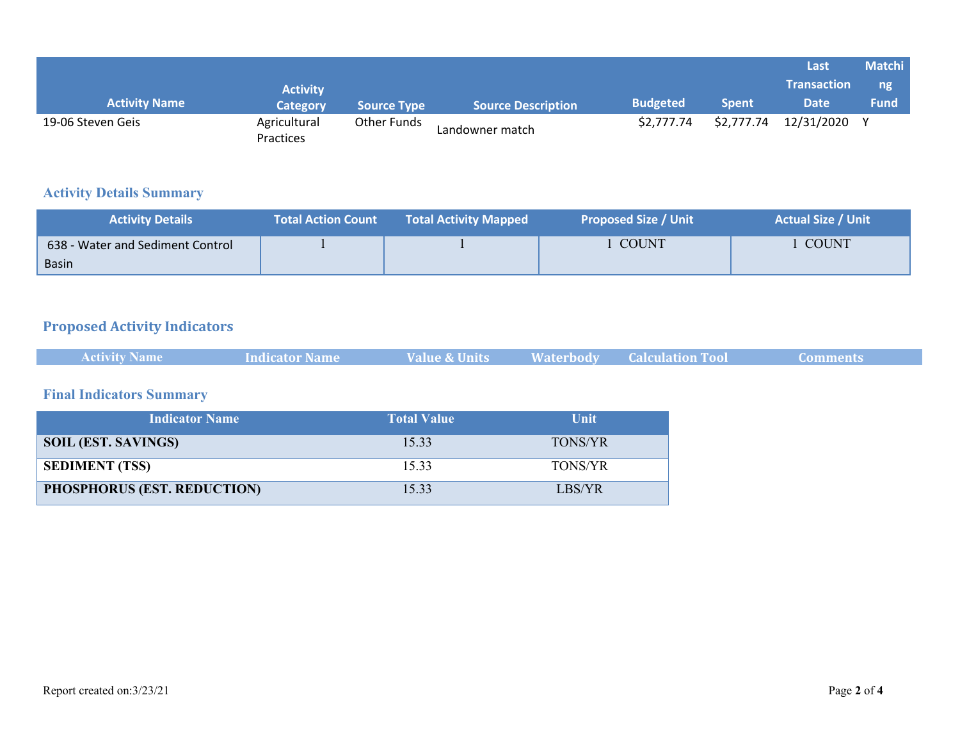|                      |                                  |               |                           |                 |              | Last               | <b>Matchi</b> |
|----------------------|----------------------------------|---------------|---------------------------|-----------------|--------------|--------------------|---------------|
|                      | <b>Activity</b>                  |               |                           |                 |              | <b>Transaction</b> | ng            |
| <b>Activity Name</b> | <b>Category</b>                  | Source Type \ | <b>Source Description</b> | <b>Budgeted</b> | <b>Spent</b> | <b>Date</b>        | Fund          |
| 19-06 Steven Geis    | Agricultural<br><b>Practices</b> | Other Funds   | Landowner match           | \$2,777.74      | \$2,777.74   | 12/31/2020         |               |

## **Activity Details Summary**

| <b>Activity Details</b>          | <b>Total Action Count</b> | <b>Total Activity Mapped</b> | <b>Proposed Size / Unit</b> | <b>Actual Size / Unit</b> |
|----------------------------------|---------------------------|------------------------------|-----------------------------|---------------------------|
| 638 - Water and Sediment Control |                           |                              | <b>COUNT</b>                | <b>COUNT</b>              |
| Basin                            |                           |                              |                             |                           |

# **Proposed Activity Indicators**

|  | <b>Activity Name</b> | <b>Indicator Name</b> | <b>Value &amp; Units</b> |  | <b>Waterbody Calculation Tool</b> | Comments |  |
|--|----------------------|-----------------------|--------------------------|--|-----------------------------------|----------|--|
|--|----------------------|-----------------------|--------------------------|--|-----------------------------------|----------|--|

## **Final Indicators Summary**

| <b>Indicator Name</b>       | <b>Total Value</b> | Unit           |
|-----------------------------|--------------------|----------------|
| <b>SOIL (EST. SAVINGS)</b>  | 15.33              | <b>TONS/YR</b> |
| <b>SEDIMENT (TSS)</b>       | 1533               | <b>TONS/YR</b> |
| PHOSPHORUS (EST. REDUCTION) | 15.33              | LBS/YR         |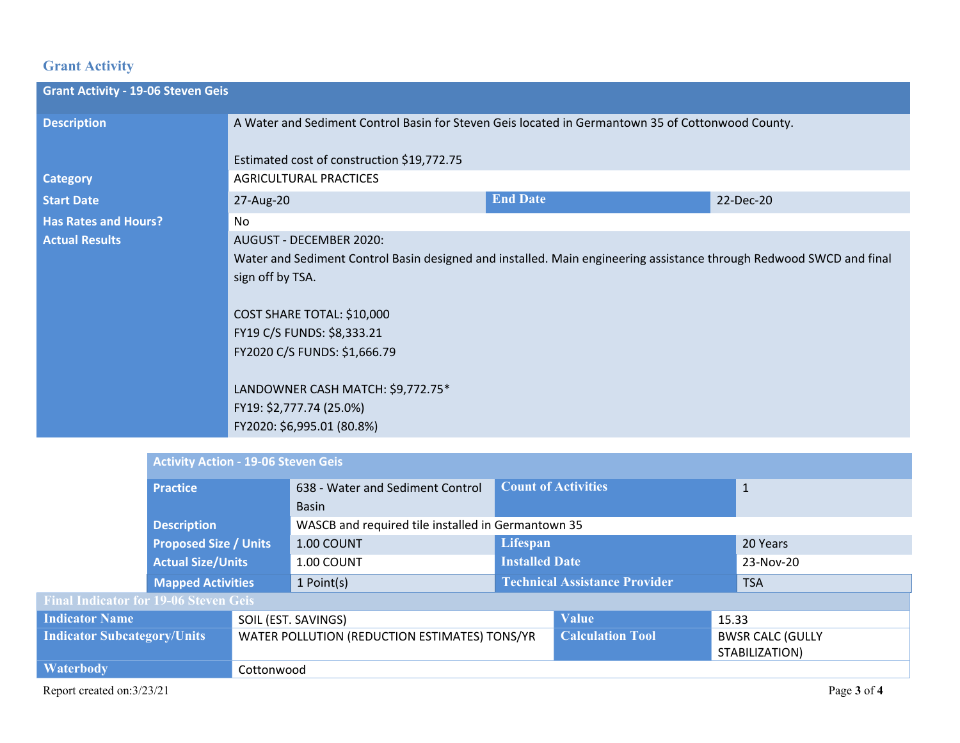## **Grant Activity**

| <b>Grant Activity - 19-06 Steven Geis</b> |                                                                                                                                                                                                                                                                                                                                                               |                 |           |  |
|-------------------------------------------|---------------------------------------------------------------------------------------------------------------------------------------------------------------------------------------------------------------------------------------------------------------------------------------------------------------------------------------------------------------|-----------------|-----------|--|
| <b>Description</b>                        | A Water and Sediment Control Basin for Steven Geis located in Germantown 35 of Cottonwood County.<br>Estimated cost of construction \$19,772.75                                                                                                                                                                                                               |                 |           |  |
| <b>Category</b>                           | <b>AGRICULTURAL PRACTICES</b>                                                                                                                                                                                                                                                                                                                                 |                 |           |  |
| <b>Start Date</b>                         | 27-Aug-20                                                                                                                                                                                                                                                                                                                                                     | <b>End Date</b> | 22-Dec-20 |  |
| <b>Has Rates and Hours?</b>               | No.                                                                                                                                                                                                                                                                                                                                                           |                 |           |  |
| <b>Actual Results</b>                     | AUGUST - DECEMBER 2020:<br>Water and Sediment Control Basin designed and installed. Main engineering assistance through Redwood SWCD and final<br>sign off by TSA.<br>COST SHARE TOTAL: \$10,000<br>FY19 C/S FUNDS: \$8,333.21<br>FY2020 C/S FUNDS: \$1,666.79<br>LANDOWNER CASH MATCH: \$9,772.75*<br>FY19: \$2,777.74 (25.0%)<br>FY2020: \$6,995.01 (80.8%) |                 |           |  |

|                                              | <b>Activity Action - 19-06 Steven Geis</b>                                          |            |                                                    |                                      |                         |                |             |
|----------------------------------------------|-------------------------------------------------------------------------------------|------------|----------------------------------------------------|--------------------------------------|-------------------------|----------------|-------------|
|                                              | <b>Practice</b>                                                                     |            | 638 - Water and Sediment Control                   | <b>Count of Activities</b>           |                         | $\mathbf{1}$   |             |
|                                              |                                                                                     |            | <b>Basin</b>                                       |                                      |                         |                |             |
|                                              | <b>Description</b>                                                                  |            | WASCB and required tile installed in Germantown 35 |                                      |                         |                |             |
|                                              | <b>Proposed Size / Units</b>                                                        |            | 1.00 COUNT                                         | Lifespan                             |                         |                | 20 Years    |
|                                              | <b>Actual Size/Units</b>                                                            |            | 1.00 COUNT                                         | <b>Installed Date</b>                |                         | 23-Nov-20      |             |
|                                              | <b>Mapped Activities</b>                                                            |            | 1 Point(s)                                         | <b>Technical Assistance Provider</b> |                         | <b>TSA</b>     |             |
| <b>Final Indicator for 19-06 Steven Geis</b> |                                                                                     |            |                                                    |                                      |                         |                |             |
| <b>Indicator Name</b>                        |                                                                                     |            | SOIL (EST. SAVINGS)                                |                                      | <b>Value</b>            | 15.33          |             |
|                                              | <b>Indicator Subcategory/Units</b><br>WATER POLLUTION (REDUCTION ESTIMATES) TONS/YR |            |                                                    | <b>Calculation Tool</b>              | <b>BWSR CALC (GULLY</b> |                |             |
|                                              |                                                                                     |            |                                                    |                                      |                         | STABILIZATION) |             |
| <b>Waterbody</b>                             |                                                                                     | Cottonwood |                                                    |                                      |                         |                |             |
| Report created on:3/23/21                    |                                                                                     |            |                                                    |                                      |                         |                | Page 3 of 4 |